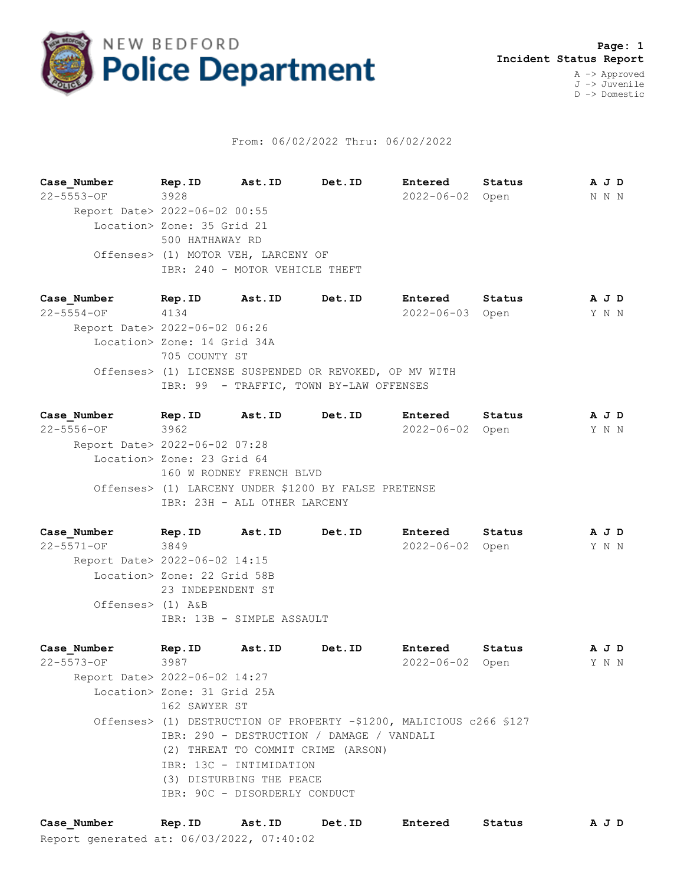

## From: 06/02/2022 Thru: 06/02/2022

**Case\_Number Rep.ID Ast.ID Det.ID Entered Status A J D** 22-5553-OF 3928 2022-06-02 Open N N N Report Date> 2022-06-02 00:55 Location> Zone: 35 Grid 21 500 HATHAWAY RD Offenses> (1) MOTOR VEH, LARCENY OF IBR: 240 - MOTOR VEHICLE THEFT

**Case\_Number Rep.ID Ast.ID Det.ID Entered Status A J D** 22-5554-OF 4134 2022-06-03 Open Y N N Report Date> 2022-06-02 06:26 Location> Zone: 14 Grid 34A 705 COUNTY ST Offenses> (1) LICENSE SUSPENDED OR REVOKED, OP MV WITH IBR: 99 - TRAFFIC, TOWN BY-LAW OFFENSES

**Case\_Number Rep.ID Ast.ID Det.ID Entered Status A J D** 22-5556-OF 3962 2022-06-02 Open Y N N Report Date> 2022-06-02 07:28 Location> Zone: 23 Grid 64 160 W RODNEY FRENCH BLVD Offenses> (1) LARCENY UNDER \$1200 BY FALSE PRETENSE IBR: 23H - ALL OTHER LARCENY

**Case\_Number Rep.ID Ast.ID Det.ID Entered Status A J D** 22-5571-OF 3849 2022-06-02 Open Y N N Report Date> 2022-06-02 14:15 Location> Zone: 22 Grid 58B 23 INDEPENDENT ST Offenses> (1) A&B IBR: 13B - SIMPLE ASSAULT

**Case\_Number Rep.ID Ast.ID Det.ID Entered Status A J D** 22-5573-OF 3987 2022-06-02 Open Y N N Report Date> 2022-06-02 14:27 Location> Zone: 31 Grid 25A 162 SAWYER ST Offenses> (1) DESTRUCTION OF PROPERTY -\$1200, MALICIOUS c266 §127 IBR: 290 - DESTRUCTION / DAMAGE / VANDALI (2) THREAT TO COMMIT CRIME (ARSON) IBR: 13C - INTIMIDATION (3) DISTURBING THE PEACE IBR: 90C - DISORDERLY CONDUCT

Report generated at: 06/03/2022, 07:40:02 **Case\_Number Rep.ID Ast.ID Det.ID Entered Status A J D**